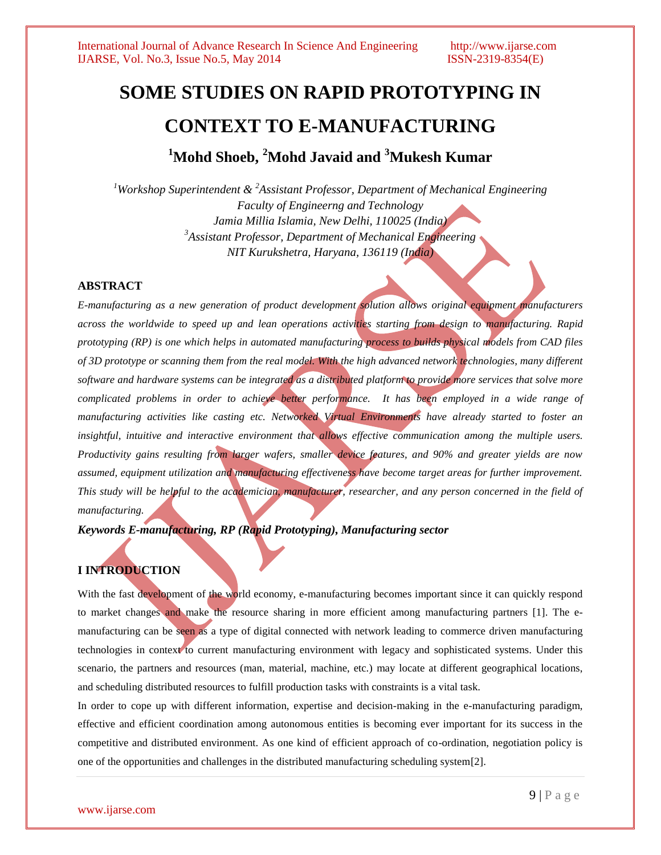# **SOME STUDIES ON RAPID PROTOTYPING IN CONTEXT TO E-MANUFACTURING**

**<sup>1</sup>Mohd Shoeb, <sup>2</sup>Mohd Javaid and <sup>3</sup>Mukesh Kumar**

*<sup>1</sup>Workshop Superintendent & <sup>2</sup>Assistant Professor, Department of Mechanical Engineering Faculty of Engineerng and Technology Jamia Millia Islamia, New Delhi, 110025 (India) <sup>3</sup>Assistant Professor, Department of Mechanical Engineering NIT Kurukshetra, Haryana, 136119 (India)*

### **ABSTRACT**

*E-manufacturing as a new generation of product development solution allows original equipment manufacturers across the worldwide to speed up and lean operations activities starting from design to manufacturing. Rapid prototyping (RP) is one which helps in automated manufacturing process to builds physical models from CAD files of 3D prototype or scanning them from the real model. With the high advanced network technologies, many different software and hardware systems can be integrated as a distributed platform to provide more services that solve more complicated problems in order to achieve better performance. It has been employed in a wide range of manufacturing activities like casting etc. Networked Virtual Environments have already started to foster an*  insightful, intuitive and interactive environment that allows effective communication among the multiple users. *Productivity gains resulting from larger wafers, smaller device features, and 90% and greater yields are now assumed, equipment utilization and manufacturing effectiveness have become target areas for further improvement. This study will be helpful to the academician, manufacturer, researcher, and any person concerned in the field of manufacturing.* 

*Keywords E-manufacturing, RP (Rapid Prototyping), Manufacturing sector*

## **I INTRODUCTION**

With the fast development of the world economy, e-manufacturing becomes important since it can quickly respond to market changes and make the resource sharing in more efficient among manufacturing partners [1]. The emanufacturing can be seen as a type of digital connected with network leading to commerce driven manufacturing technologies in context to current manufacturing environment with legacy and sophisticated systems. Under this scenario, the partners and resources (man, material, machine, etc.) may locate at different geographical locations, and scheduling distributed resources to fulfill production tasks with constraints is a vital task.

In order to cope up with different information, expertise and decision-making in the e-manufacturing paradigm, effective and efficient coordination among autonomous entities is becoming ever important for its success in the competitive and distributed environment. As one kind of efficient approach of co-ordination, negotiation policy is one of the opportunities and challenges in the distributed manufacturing scheduling system[2].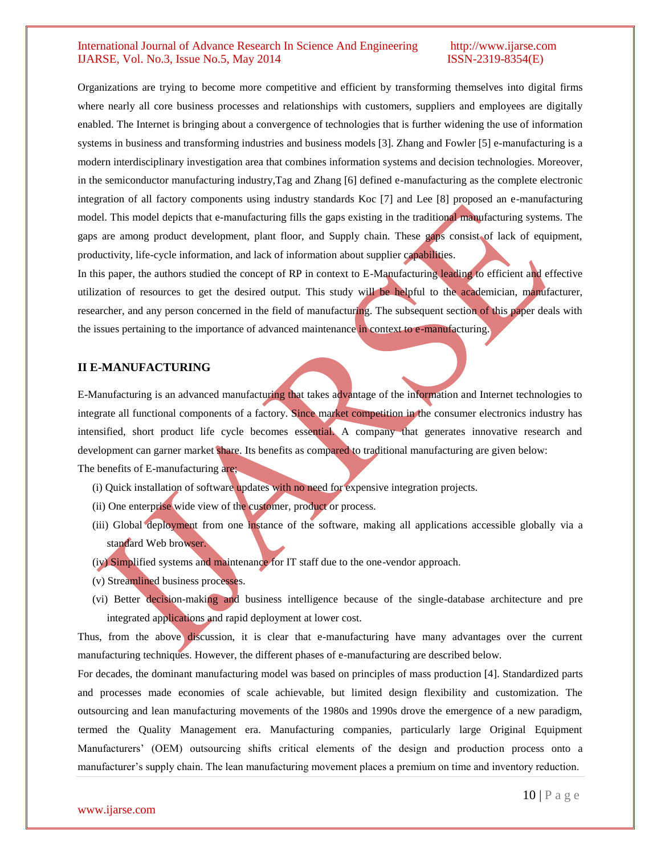Organizations are trying to become more competitive and efficient by transforming themselves into digital firms where nearly all core business processes and relationships with customers, suppliers and employees are digitally enabled. The Internet is bringing about a convergence of technologies that is further widening the use of information systems in business and transforming industries and business models [3]. Zhang and Fowler [5] e-manufacturing is a modern interdisciplinary investigation area that combines information systems and decision technologies. Moreover, in the semiconductor manufacturing industry,Tag and Zhang [6] defined e-manufacturing as the complete electronic integration of all factory components using industry standards Koc [7] and Lee [8] proposed an e-manufacturing model. This model depicts that e-manufacturing fills the gaps existing in the traditional manufacturing systems. The gaps are among product development, plant floor, and Supply chain. These gaps consist of lack of equipment, productivity, life-cycle information, and lack of information about supplier capabilities.

In this paper, the authors studied the concept of RP in context to E-Manufacturing leading to efficient and effective utilization of resources to get the desired output. This study will be helpful to the academician, manufacturer, researcher, and any person concerned in the field of manufacturing. The subsequent section of this paper deals with the issues pertaining to the importance of advanced maintenance in context to e-manufacturing.

#### **II E-MANUFACTURING**

E-Manufacturing is an advanced manufacturing that takes advantage of the information and Internet technologies to integrate all functional components of a factory. Since market competition in the consumer electronics industry has intensified, short product life cycle becomes essential. A company that generates innovative research and development can garner market share. Its benefits as compared to traditional manufacturing are given below: The benefits of E-manufacturing are;

- (i) Quick installation of software updates with no need for expensive integration projects.
- (ii) One enterprise wide view of the customer, product or process.
- (iii) Global deployment from one instance of the software, making all applications accessible globally via a standard Web browser.
- (iv) Simplified systems and maintenance for IT staff due to the one-vendor approach.
- (v) Streamlined business processes.
- (vi) Better decision-making and business intelligence because of the single-database architecture and pre integrated applications and rapid deployment at lower cost.

Thus, from the above discussion, it is clear that e-manufacturing have many advantages over the current manufacturing techniques. However, the different phases of e-manufacturing are described below.

For decades, the dominant manufacturing model was based on principles of mass production [4]. Standardized parts and processes made economies of scale achievable, but limited design flexibility and customization. The outsourcing and lean manufacturing movements of the 1980s and 1990s drove the emergence of a new paradigm, termed the Quality Management era. Manufacturing companies, particularly large Original Equipment Manufacturers' (OEM) outsourcing shifts critical elements of the design and production process onto a manufacturer's supply chain. The lean manufacturing movement places a premium on time and inventory reduction.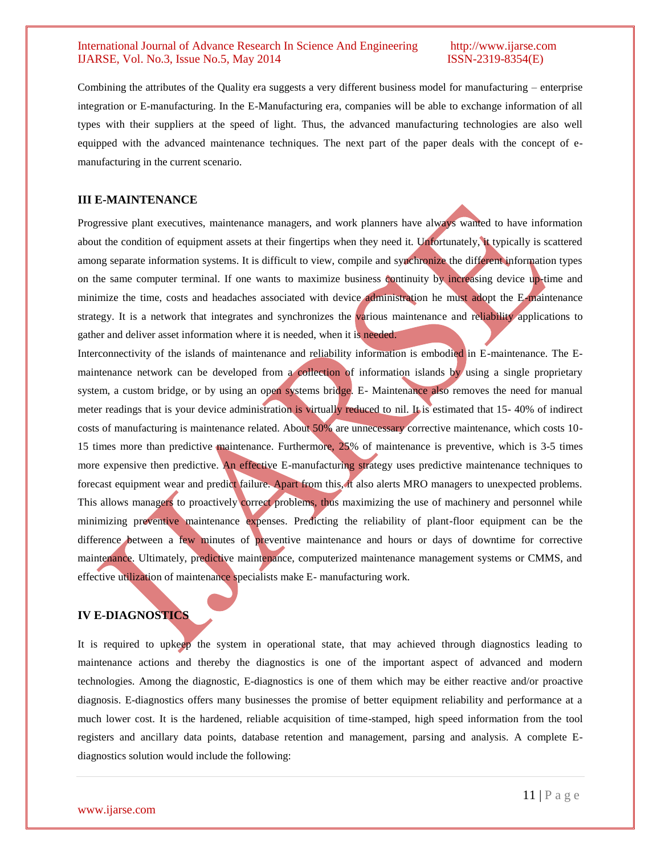Combining the attributes of the Quality era suggests a very different business model for manufacturing – enterprise integration or E-manufacturing. In the E-Manufacturing era, companies will be able to exchange information of all types with their suppliers at the speed of light. Thus, the advanced manufacturing technologies are also well equipped with the advanced maintenance techniques. The next part of the paper deals with the concept of emanufacturing in the current scenario.

#### **III E-MAINTENANCE**

Progressive plant executives, maintenance managers, and work planners have always wanted to have information about the condition of equipment assets at their fingertips when they need it. Unfortunately, it typically is scattered among separate information systems. It is difficult to view, compile and synchronize the different information types on the same computer terminal. If one wants to maximize business continuity by increasing device up-time and minimize the time, costs and headaches associated with device administration he must adopt the E-maintenance strategy. It is a network that integrates and synchronizes the various maintenance and reliability applications to gather and deliver asset information where it is needed, when it is needed.

Interconnectivity of the islands of maintenance and reliability information is embodied in E-maintenance. The Emaintenance network can be developed from a collection of information islands by using a single proprietary system, a custom bridge, or by using an open systems bridge. E- Maintenance also removes the need for manual meter readings that is your device administration is virtually reduced to nil. It is estimated that 15- 40% of indirect costs of manufacturing is maintenance related. About 50% are unnecessary corrective maintenance, which costs 10- 15 times more than predictive maintenance. Furthermore, 25% of maintenance is preventive, which is 3-5 times more expensive then predictive. An effective E-manufacturing strategy uses predictive maintenance techniques to forecast equipment wear and predict failure. Apart from this, it also alerts MRO managers to unexpected problems. This allows managers to proactively correct problems, thus maximizing the use of machinery and personnel while minimizing preventive maintenance expenses. Predicting the reliability of plant-floor equipment can be the difference between a few minutes of preventive maintenance and hours or days of downtime for corrective maintenance. Ultimately, predictive maintenance, computerized maintenance management systems or CMMS, and effective utilization of maintenance specialists make E- manufacturing work.

### **IV E-DIAGNOSTICS**

It is required to upkeep the system in operational state, that may achieved through diagnostics leading to maintenance actions and thereby the diagnostics is one of the important aspect of advanced and modern technologies. Among the diagnostic, E-diagnostics is one of them which may be either reactive and/or proactive diagnosis. E-diagnostics offers many businesses the promise of better equipment reliability and performance at a much lower cost. It is the hardened, reliable acquisition of time-stamped, high speed information from the tool registers and ancillary data points, database retention and management, parsing and analysis. A complete Ediagnostics solution would include the following: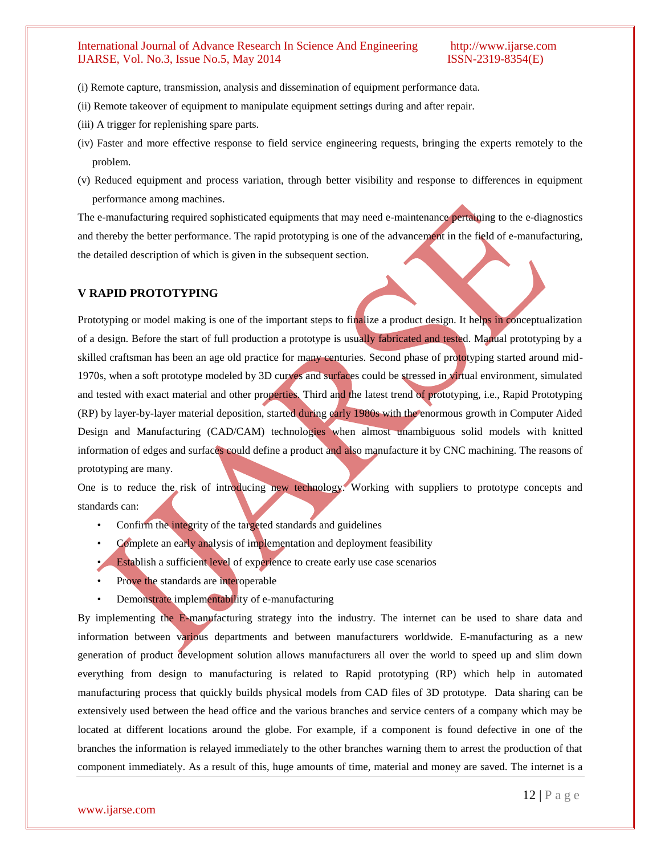- (i) Remote capture, transmission, analysis and dissemination of equipment performance data.
- (ii) Remote takeover of equipment to manipulate equipment settings during and after repair.
- (iii) A trigger for replenishing spare parts.
- (iv) Faster and more effective response to field service engineering requests, bringing the experts remotely to the problem.
- (v) Reduced equipment and process variation, through better visibility and response to differences in equipment performance among machines.

The e-manufacturing required sophisticated equipments that may need e-maintenance pertaining to the e-diagnostics and thereby the better performance. The rapid prototyping is one of the advancement in the field of e-manufacturing, the detailed description of which is given in the subsequent section.

#### **V RAPID PROTOTYPING**

Prototyping or model making is one of the important steps to finalize a product design. It helps in conceptualization of a design. Before the start of full production a prototype is usually fabricated and tested. Manual prototyping by a skilled craftsman has been an age old practice for many centuries. Second phase of prototyping started around mid-1970s, when a soft prototype modeled by 3D curves and surfaces could be stressed in virtual environment, simulated and tested with exact material and other properties. Third and the latest trend of prototyping, i.e., Rapid Prototyping (RP) by layer-by-layer material deposition, started during early 1980s with the enormous growth in Computer Aided Design and Manufacturing (CAD/CAM) technologies when almost unambiguous solid models with knitted information of edges and surfaces could define a product and also manufacture it by CNC machining. The reasons of prototyping are many.

One is to reduce the risk of introducing new technology. Working with suppliers to prototype concepts and standards can:

- Confirm the integrity of the targeted standards and guidelines
- Complete an early analysis of implementation and deployment feasibility
- **Establish a sufficient level of experience to create early use case scenarios**
- Prove the standards are interoperable
- Demonstrate implementability of e-manufacturing

By implementing the E-manufacturing strategy into the industry. The internet can be used to share data and information between various departments and between manufacturers worldwide. E-manufacturing as a new generation of product development solution allows manufacturers all over the world to speed up and slim down everything from design to manufacturing is related to Rapid prototyping (RP) which help in automated manufacturing process that quickly builds physical models from CAD files of 3D prototype. Data sharing can be extensively used between the head office and the various branches and service centers of a company which may be located at different locations around the globe. For example, if a component is found defective in one of the branches the information is relayed immediately to the other branches warning them to arrest the production of that component immediately. As a result of this, huge amounts of time, material and money are saved. The internet is a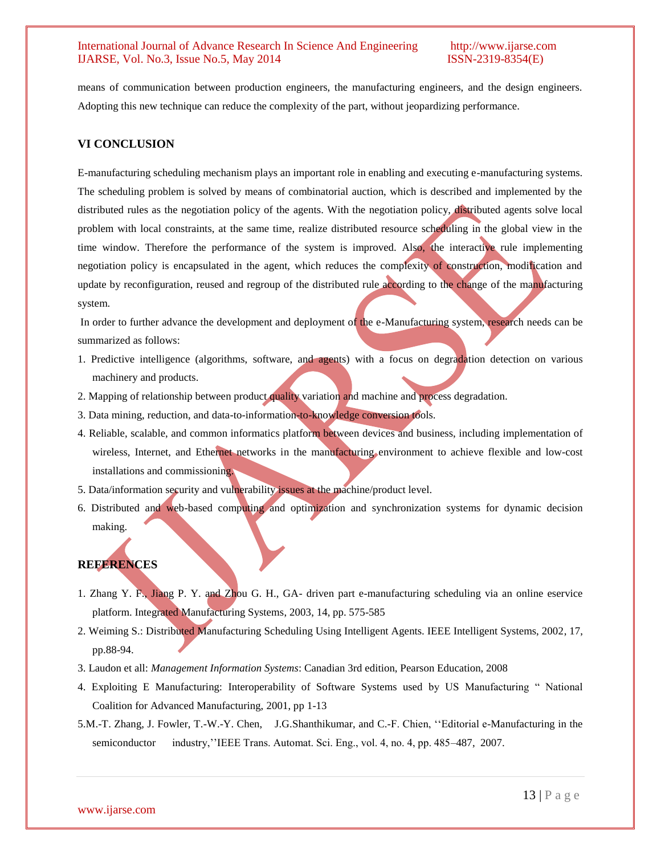means of communication between production engineers, the manufacturing engineers, and the design engineers. Adopting this new technique can reduce the complexity of the part, without jeopardizing performance.

### **VI CONCLUSION**

E-manufacturing scheduling mechanism plays an important role in enabling and executing e-manufacturing systems. The scheduling problem is solved by means of combinatorial auction, which is described and implemented by the distributed rules as the negotiation policy of the agents. With the negotiation policy, distributed agents solve local problem with local constraints, at the same time, realize distributed resource scheduling in the global view in the time window. Therefore the performance of the system is improved. Also, the interactive rule implementing negotiation policy is encapsulated in the agent, which reduces the complexity of construction, modification and update by reconfiguration, reused and regroup of the distributed rule according to the change of the manufacturing system.

In order to further advance the development and deployment of the e-Manufacturing system, research needs can be summarized as follows:

- 1. Predictive intelligence (algorithms, software, and agents) with a focus on degradation detection on various machinery and products.
- 2. Mapping of relationship between product quality variation and machine and process degradation.
- 3. Data mining, reduction, and data-to-information-to-knowledge conversion tools.
- 4. Reliable, scalable, and common informatics platform between devices and business, including implementation of wireless, Internet, and Ethernet networks in the manufacturing environment to achieve flexible and low-cost installations and commissioning.
- 5. Data/information security and vulnerability issues at the machine/product level.
- 6. Distributed and web-based computing and optimization and synchronization systems for dynamic decision making.

### **REFERENCES**

- 1. Zhang Y. F., Jiang P. Y. and Zhou G. H., GA- driven part e-manufacturing scheduling via an online eservice platform. Integrated Manufacturing Systems, 2003, 14, pp. 575-585
- 2. Weiming S.: Distributed Manufacturing Scheduling Using Intelligent Agents. IEEE Intelligent Systems, 2002, 17, pp.88-94.
- 3. Laudon et all: *Management Information Systems*: Canadian 3rd edition, Pearson Education, 2008
- 4. Exploiting E Manufacturing: Interoperability of Software Systems used by US Manufacturing " National Coalition for Advanced Manufacturing, 2001, pp 1-13
- 5.M.-T. Zhang, J. Fowler, T.-W.-Y. Chen, J.G.Shanthikumar, and C.-F. Chien, ''Editorial e-Manufacturing in the semiconductor industry,''IEEE Trans. Automat. Sci. Eng., vol. 4, no. 4, pp. 485–487, 2007.